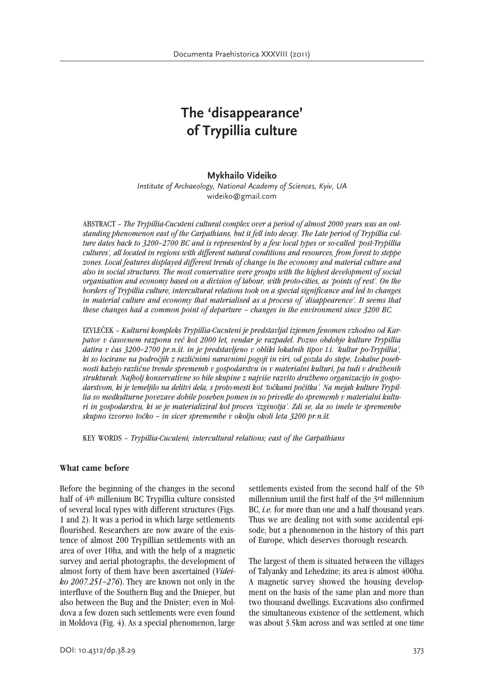# **The 'disappearance' of Trypillia culture**

## **Mykhailo Videiko**

*Institute of Archaeology, National Academy of Sciences, Kyiv, UA* wideiko@gmail.com

ABSTRACT – *The Trypillia-Cucuteni cultural complex over a period of almost 2000 years was an outstanding phenomenon east of the Carpathians, but it fell into decay. The Late period of Trypillia culture dates back to 3200–2700 BC and is represented by a few local types or so-called 'post-Trypillia cultures', all located in regions with different natural conditions and resources, from forest to steppe zones. Local features displayed different trends of change in the economy and material culture and also in social structures. The most conservative were groups with the highest development of social organisation and economy based on a division of labour, with proto-cities, as 'points of rest'. On the borders of Trypillia culture, intercultural relations took on a special significance and led to changes in material culture and economy that materialised as a process of 'disappearence'. It seems that these changes had a common point of departure – changes in the environment since 3200 BC.*

IZVLE∞EK – *Kulturni kompleks Trypillia-Cucuteni je predstavljal izjemen fenomen vzhodno od Karpatov v ≠asovnem razponu ve≠ kot 2000 let, vendar je razpadel. Pozno obdobje kulture Trypillia datira v ≠as 3200–2700 pr.n.∏t. in je predstavljeno v obliki lokalnih tipov t.i. 'kultur po-Trypillia', ki so locirane na podro≠jih z razli≠nimi naravnimi pogoji in viri, od gozda do stepe. Lokalne posebnosti kažejo različne trende sprememb v gospodarstvu in v materialni kulturi, pa tudi v družbenih* strukturah. Najbolj konservativne so bile skupine z najviše razvito družbeno organizacijo in gospo*darstvom, ki je temeljilo na delitvi dela, s proto-mesti kot 'to≠kami po≠itka'. Na mejah kulture Trypillia so medkulturne povezave dobile poseben pomen in so privedle do sprememb v materialni kulturi in gospodarstvu, ki se je materializiral kot proces 'izginotja'. Zdi se, da so imele te spremembe* skupno izvorno točko – in sicer spremembe v okolju okoli leta 3200 pr.n.št.

KEY WORDS – *Trypillia-Cucuteni; intercultural relations; east of the Carpathians*

#### **What came before**

Before the beginning of the changes in the second half of 4th millenium BC Trypillia culture consisted of several local types with different structures (Figs. 1 and 2). It was a period in which large settlements flourished. Researchers are now aware of the existence of almost 200 Trypillian settlements with an area of over 10ha, and with the help of a magnetic survey and aerial photographs, the development of almost forty of them have been ascertained (*Videiko 2007.251–276*). They are known not only in the interfluve of the Southern Bug and the Dnieper, but also between the Bug and the Dnister; even in Moldova a few dozen such settlements were even found in Moldova (Fig. 4). As a special phenomenon, large

settlements existed from the second half of the 5th millennium until the first half of the 3rd millennium BC, *i.e.* for more than one and a half thousand years. Thus we are dealing not with some accidental episode, but a phenomenon in the history of this part of Europe, which deserves thorough research.

The largest of them is situated between the villages of Talyanky and Lehedzine; its area is almost 400ha. A magnetic survey showed the housing development on the basis of the same plan and more than two thousand dwellings. Excavations also confirmed the simultaneous existence of the settlement, which was about 3.5km across and was settled at one time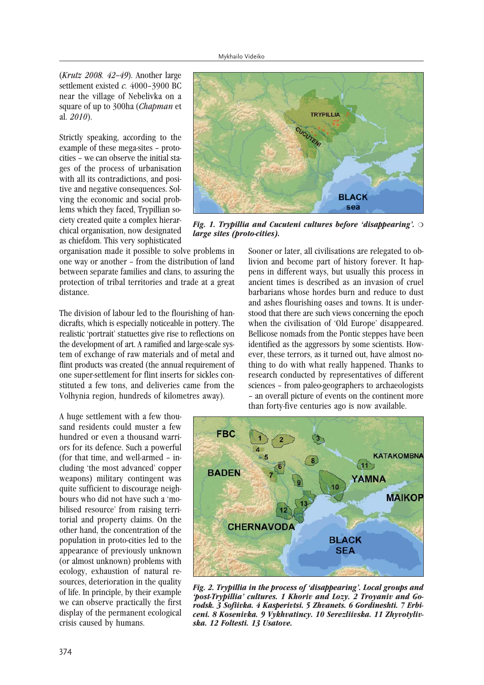(*Krutz 2008. 42–49*). Another large settlement existed *c.* 4000–3900 BC near the village of Nebelivka on a square of up to 300ha (*Chapman* et al. *2010*).

Strictly speaking, according to the example of these mega-sites – protocities – we can observe the initial stages of the process of urbanisation with all its contradictions, and positive and negative consequences. Solving the economic and social problems which they faced, Trypillian society created quite a complex hierarchical organisation, now designated as chiefdom. This very sophisticated



*Fig. 1. Trypillia and Cucuteni cultures before 'disappearing'.* ❍ *large sites (proto-cities).*

organisation made it possible to solve problems in one way or another – from the distribution of land between separate families and clans, to assuring the protection of tribal territories and trade at a great distance.

The division of labour led to the flourishing of handicrafts, which is especially noticeable in pottery. The realistic 'portrait' statuettes give rise to reflections on the development of art. A ramified and large-scale system of exchange of raw materials and of metal and flint products was created (the annual requirement of one super-settlement for flint inserts for sickles constituted a few tons, and deliveries came from the Volhynia region, hundreds of kilometres away).

A huge settlement with a few thousand residents could muster a few hundred or even a thousand warriors for its defence. Such a powerful (for that time, and well-armed – including 'the most advanced' copper weapons) military contingent was quite sufficient to discourage neighbours who did not have such a 'mobilised resource' from raising territorial and property claims. On the other hand, the concentration of the population in proto-cities led to the appearance of previously unknown (or almost unknown) problems with ecology, exhaustion of natural resources, deterioration in the quality of life. In principle, by their example we can observe practically the first display of the permanent ecological crisis caused by humans.

Sooner or later, all civilisations are relegated to oblivion and become part of history forever. It happens in different ways, but usually this process in ancient times is described as an invasion of cruel barbarians whose hordes burn and reduce to dust and ashes flourishing oases and towns. It is understood that there are such views concerning the epoch when the civilisation of 'Old Europe' disappeared. Bellicose nomads from the Pontic steppes have been identified as the aggressors by some scientists. However, these terrors, as it turned out, have almost nothing to do with what really happened. Thanks to research conducted by representatives of different sciences – from paleo-geographers to archaeologists – an overall picture of events on the continent more than forty-five centuries ago is now available.



*Fig. 2. Trypillia in the process of 'disappearing'. Local groups and 'post-Trypillia' cultures. 1 Khoriv and Lozy. 2 Troyaniv and Gorodsk. 3 Sofiivka. 4 Kasperivtsi. 5 Zhvanets. 6 Gordineshti. 7 Erbiceni. 8 Kosenivka. 9 Vykhvatincy. 10 Serezliivska. 11 Zhyvotylivska. 12 Foltesti. 13 Usatove.*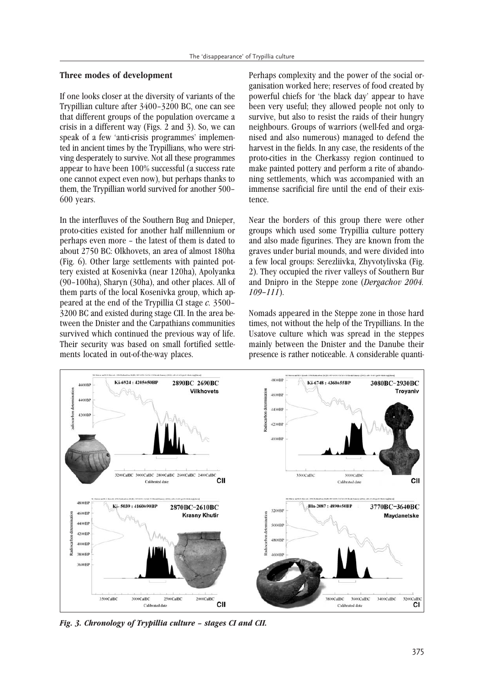### **Three modes of development**

If one looks closer at the diversity of variants of the Trypillian culture after 3400–3200 BC, one can see that different groups of the population overcame a crisis in a different way (Figs. 2 and 3). So, we can speak of a few 'anti-crisis programmes' implemented in ancient times by the Trypillians, who were striving desperately to survive. Not all these programmes appear to have been 100% successful (a success rate one cannot expect even now), but perhaps thanks to them, the Trypillian world survived for another 500– 600 years.

In the interfluves of the Southern Bug and Dnieper, proto-cities existed for another half millennium or perhaps even more – the latest of them is dated to about 2750 BC: Olkhovets, an area of almost 180ha (Fig. 6). Other large settlements with painted pottery existed at Kosenivka (near 120ha), Apolyanka (90–100ha), Sharyn (30ha), and other places. All of them parts of the local Kosenivka group, which appeared at the end of the Trypillia CI stage *c.* 3500– 3200 BC and existed during stage CII. In the area between the Dnister and the Carpathians communities survived which continued the previous way of life. Their security was based on small fortified settlements located in out-of-the-way places.

Perhaps complexity and the power of the social organisation worked here; reserves of food created by powerful chiefs for 'the black day' appear to have been very useful; they allowed people not only to survive, but also to resist the raids of their hungry neighbours. Groups of warriors (well-fed and organised and also numerous) managed to defend the harvest in the fields. In any case, the residents of the proto-cities in the Cherkassy region continued to make painted pottery and perform a rite of abandoning settlements, which was accompanied with an immense sacrificial fire until the end of their existence.

Near the borders of this group there were other groups which used some Trypillia culture pottery and also made figurines. They are known from the graves under burial mounds, and were divided into a few local groups: Serezliivka, Zhyvotylivska (Fig. 2). They occupied the river valleys of Southern Bur and Dnipro in the Steppe zone (*Dergachov 2004. 109–111*).

Nomads appeared in the Steppe zone in those hard times, not without the help of the Trypillians. In the Usatove culture which was spread in the steppes mainly between the Dnister and the Danube their presence is rather noticeable. A considerable quanti-



*Fig. 3. Chronology of Trypillia culture – stages CI and CII.*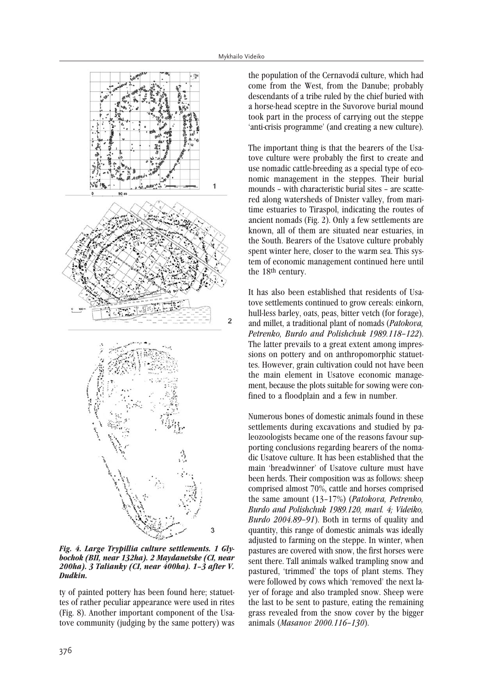

*Fig. 4. Large Trypillia culture settlements. 1 Glybochok (BII, near 132ha). 2 Maydanetske (CI, near 200ha). 3 Talianky (CI, near 400ha). 1–3 after V. Dudkin.*

ty of painted pottery has been found here; statuettes of rather peculiar appearance were used in rites (Fig. 8). Another important component of the Usatove community (judging by the same pottery) was the population of the Cernavodă culture, which had come from the West, from the Danube; probably descendants of a tribe ruled by the chief buried with a horse-head sceptre in the Suvorove burial mound took part in the process of carrying out the steppe 'anti-crisis programme' (and creating a new culture).

The important thing is that the bearers of the Usatove culture were probably the first to create and use nomadic cattle-breeding as a special type of economic management in the steppes. Their burial mounds – with characteristic burial sites – are scattered along watersheds of Dnister valley, from maritime estuaries to Tiraspol, indicating the routes of ancient nomads (Fig. 2). Only a few settlements are known, all of them are situated near estuaries, in the South. Bearers of the Usatove culture probably spent winter here, closer to the warm sea. This system of economic management continued here until the 18th century.

It has also been established that residents of Usatove settlements continued to grow cereals: einkorn, hull-less barley, oats, peas, bitter vetch (for forage), and millet, a traditional plant of nomads (*Patokova, Petrenko, Burdo and Polishchuk 1989.118–122*). The latter prevails to a great extent among impressions on pottery and on anthropomorphic statuettes. However, grain cultivation could not have been the main element in Usatove economic management, because the plots suitable for sowing were confined to a floodplain and a few in number.

Numerous bones of domestic animals found in these settlements during excavations and studied by paleozoologists became one of the reasons favour supporting conclusions regarding bearers of the nomadic Usatove culture. It has been established that the main 'breadwinner' of Usatove culture must have been herds. Their composition was as follows: sheep comprised almost 70%, cattle and horses comprised the same amount (13–17%) (*Patokova, Petrenko, Burdo and Polishchuk 1989.120, mavl. 4; Videiko, Burdo 2004.89–91*). Both in terms of quality and quantity, this range of domestic animals was ideally adjusted to farming on the steppe. In winter, when pastures are covered with snow, the first horses were sent there. Tall animals walked trampling snow and pastured, 'trimmed' the tops of plant stems. They were followed by cows which 'removed' the next layer of forage and also trampled snow. Sheep were the last to be sent to pasture, eating the remaining grass revealed from the snow cover by the bigger animals (*Masanov 2000.116–130*).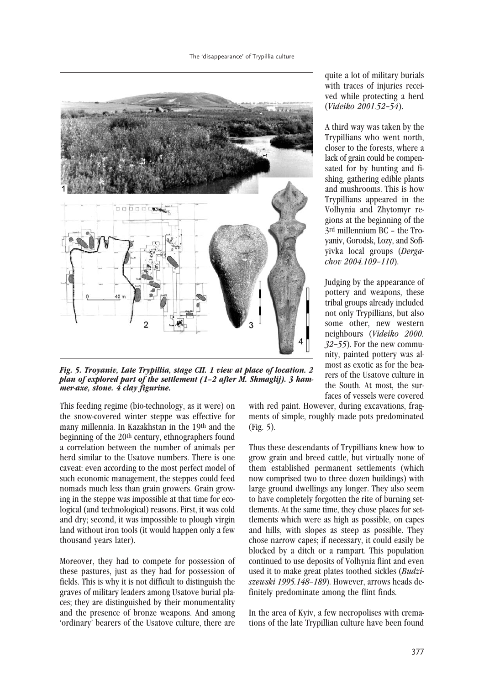

*Fig. 5. Troyaniv, Late Trypillia, stage CII. 1 view at place of location. 2 plan of explored part of the settlement (1–2 after M. Shmaglij). 3 hammer-axe, stone. 4 clay figurine.*

This feeding regime (bio-technology, as it were) on the snow-covered winter steppe was effective for many millennia. In Kazakhstan in the 19th and the beginning of the 20th century, ethnographers found a correlation between the number of animals per herd similar to the Usatove numbers. There is one caveat: even according to the most perfect model of such economic management, the steppes could feed nomads much less than grain growers. Grain growing in the steppe was impossible at that time for ecological (and technological) reasons. First, it was cold and dry; second, it was impossible to plough virgin land without iron tools (it would happen only a few thousand years later).

Moreover, they had to compete for possession of these pastures, just as they had for possession of fields. This is why it is not difficult to distinguish the graves of military leaders among Usatove burial places; they are distinguished by their monumentality and the presence of bronze weapons. And among 'ordinary' bearers of the Usatove culture, there are

quite a lot of military burials with traces of injuries received while protecting a herd (*Videiko 2001.52–54*).

A third way was taken by the Trypillians who went north, closer to the forests, where a lack of grain could be compensated for by hunting and fishing, gathering edible plants and mushrooms. This is how Trypillians appeared in the Volhynia and Zhytomyr regions at the beginning of the 3rd millennium BC – the Troyaniv, Gorodsk, Lozy, and Sofiyivka local groups (*Dergachov 2004.109–110*).

Judging by the appearance of pottery and weapons, these tribal groups already included not only Trypillians, but also some other, new western neighbours (*Videiko 2000. 32–55*). For the new community, painted pottery was almost as exotic as for the bearers of the Usatove culture in the South. At most, the surfaces of vessels were covered

with red paint. However, during excavations, fragments of simple, roughly made pots predominated (Fig. 5).

Thus these descendants of Trypillians knew how to grow grain and breed cattle, but virtually none of them established permanent settlements (which now comprised two to three dozen buildings) with large ground dwellings any longer. They also seem to have completely forgotten the rite of burning settlements. At the same time, they chose places for settlements which were as high as possible, on capes and hills, with slopes as steep as possible. They chose narrow capes; if necessary, it could easily be blocked by a ditch or a rampart. This population continued to use deposits of Volhynia flint and even used it to make great plates toothed sickles (*Budziszewski 1995.148–189*). However, arrows heads definitely predominate among the flint finds.

In the area of Kyiv, a few necropolises with cremations of the late Trypillian culture have been found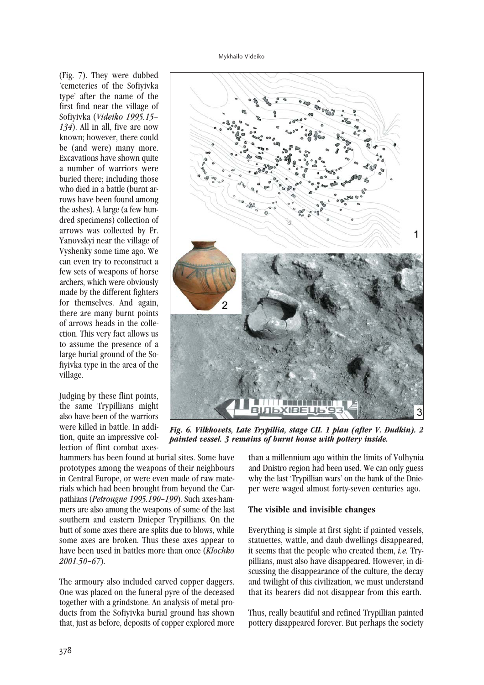(Fig. 7). They were dubbed 'cemeteries of the Sofiyivka type' after the name of the first find near the village of Sofiyivka (*Videiko 1995.15– 134*). All in all, five are now known; however, there could be (and were) many more. Excavations have shown quite a number of warriors were buried there; including those who died in a battle (burnt arrows have been found among the ashes). A large (a few hundred specimens) collection of arrows was collected by Fr. Yanovskyi near the village of Vyshenky some time ago. We can even try to reconstruct a few sets of weapons of horse archers, which were obviously made by the different fighters for themselves. And again, there are many burnt points of arrows heads in the collection. This very fact allows us to assume the presence of a large burial ground of the Sofiyivka type in the area of the village.

Judging by these flint points, the same Trypillians might also have been of the warriors were killed in battle. In addition, quite an impressive collection of flint combat axes-



*Fig. 6. Vilkhovets, Late Trypillia, stage CII. 1 plan (after V. Dudkin). 2 painted vessel. 3 remains of burnt house with pottery inside.*

hammers has been found at burial sites. Some have prototypes among the weapons of their neighbours in Central Europe, or were even made of raw materials which had been brought from beyond the Carpathians (*Petrougne 1995.190–199*). Such axes-hammers are also among the weapons of some of the last southern and eastern Dnieper Trypillians. On the butt of some axes there are splits due to blows, while some axes are broken. Thus these axes appear to have been used in battles more than once (*Klochko 2001.50–67*).

The armoury also included carved copper daggers. One was placed on the funeral pyre of the deceased together with a grindstone. An analysis of metal products from the Sofiyivka burial ground has shown that, just as before, deposits of copper explored more than a millennium ago within the limits of Volhynia and Dnistro region had been used. We can only guess why the last 'Trypillian wars' on the bank of the Dnieper were waged almost forty-seven centuries ago.

# **The visible and invisible changes**

Everything is simple at first sight: if painted vessels, statuettes, wattle, and daub dwellings disappeared, it seems that the people who created them, *i.e.* Trypillians, must also have disappeared. However, in discussing the disappearance of the culture, the decay and twilight of this civilization, we must understand that its bearers did not disappear from this earth.

Thus, really beautiful and refined Trypillian painted pottery disappeared forever. But perhaps the society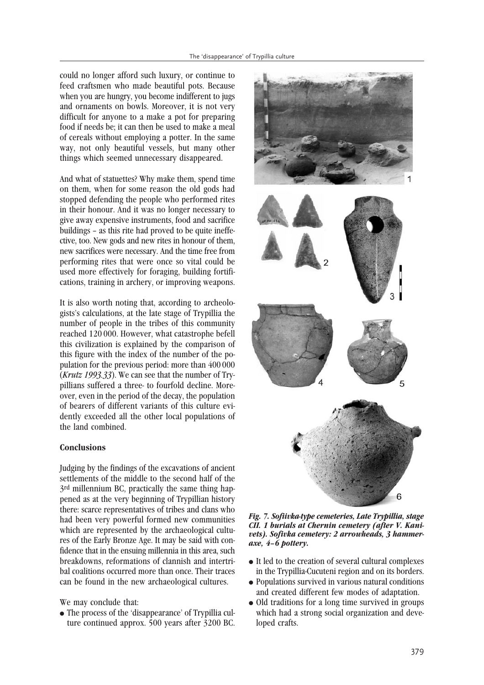could no longer afford such luxury, or continue to feed craftsmen who made beautiful pots. Because when you are hungry, you become indifferent to jugs and ornaments on bowls. Moreover, it is not very difficult for anyone to a make a pot for preparing food if needs be; it can then be used to make a meal of cereals without employing a potter. In the same way, not only beautiful vessels, but many other things which seemed unnecessary disappeared.

And what of statuettes? Why make them, spend time on them, when for some reason the old gods had stopped defending the people who performed rites in their honour. And it was no longer necessary to give away expensive instruments, food and sacrifice buildings – as this rite had proved to be quite ineffective, too. New gods and new rites in honour of them, new sacrifices were necessary. And the time free from performing rites that were once so vital could be used more effectively for foraging, building fortifications, training in archery, or improving weapons.

It is also worth noting that, according to archeologists's calculations, at the late stage of Trypillia the number of people in the tribes of this community reached 120 000. However, what catastrophe befell this civilization is explained by the comparison of this figure with the index of the number of the population for the previous period: more than 400 000 (*Krutz 1993.33*). We can see that the number of Trypillians suffered a three- to fourfold decline. Moreover, even in the period of the decay, the population of bearers of different variants of this culture evidently exceeded all the other local populations of the land combined.

## **Conclusions**

Judging by the findings of the excavations of ancient settlements of the middle to the second half of the 3rd millennium BC, practically the same thing happened as at the very beginning of Trypillian history there: scarce representatives of tribes and clans who had been very powerful formed new communities which are represented by the archaeological cultures of the Early Bronze Age. It may be said with confidence that in the ensuing millennia in this area, such breakdowns, reformations of clannish and intertribal coalitions occurred more than once. Their traces can be found in the new archaeological cultures.

#### We may conclude that:

● The process of the 'disappearance' of Trypillia culture continued approx. 500 years after 3200 BC.



*Fig. 7. Sofiivka-type cemeteries, Late Trypillia, stage CII. 1 burials at Chernin cemetery (after V. Kanivets). Sofivka cemetery: 2 arrowheads, 3 hammeraxe, 4–6 pottery.*

- It led to the creation of several cultural complexes in the Trypillia-Cucuteni region and on its borders.
- Populations survived in various natural conditions and created different few modes of adaptation.
- Old traditions for a long time survived in groups which had a strong social organization and developed crafts.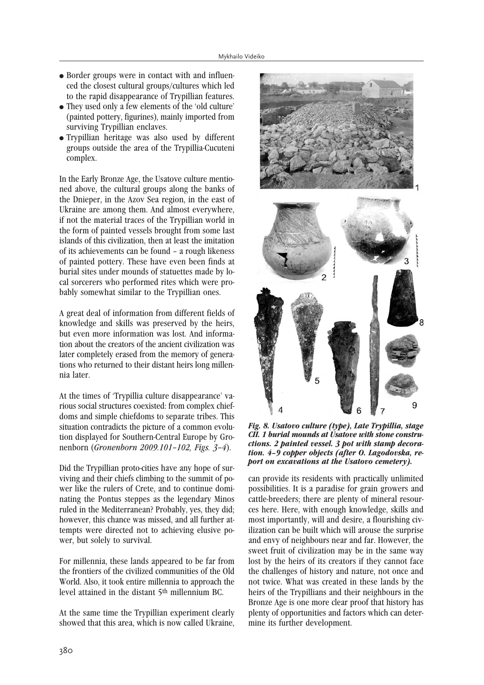- Border groups were in contact with and influenced the closest cultural groups/cultures which led to the rapid disappearance of Trypillian features.
- They used only a few elements of the 'old culture' (painted pottery, figurines), mainly imported from surviving Trypillian enclaves.
- Trypillian heritage was also used by different groups outside the area of the Trypillia-Cucuteni complex.

In the Early Bronze Age, the Usatove culture mentioned above, the cultural groups along the banks of the Dnieper, in the Azov Sea region, in the east of Ukraine are among them. And almost everywhere, if not the material traces of the Trypillian world in the form of painted vessels brought from some last islands of this civilization, then at least the imitation of its achievements can be found – a rough likeness of painted pottery. These have even been finds at burial sites under mounds of statuettes made by local sorcerers who performed rites which were probably somewhat similar to the Trypillian ones.

A great deal of information from different fields of knowledge and skills was preserved by the heirs, but even more information was lost. And information about the creators of the ancient civilization was later completely erased from the memory of generations who returned to their distant heirs long millennia later.

At the times of 'Trypillia culture disappearance' various social structures coexisted: from complex chiefdoms and simple chiefdoms to separate tribes. This situation contradicts the picture of a common evolution displayed for Southern-Central Europe by Gronenborn (*Gronenborn 2009.101–102, Figs. 3–4*).

Did the Trypillian proto-cities have any hope of surviving and their chiefs climbing to the summit of power like the rulers of Crete, and to continue dominating the Pontus steppes as the legendary Minos ruled in the Mediterranean? Probably, yes, they did; however, this chance was missed, and all further attempts were directed not to achieving elusive power, but solely to survival.

For millennia, these lands appeared to be far from the frontiers of the civilized communities of the Old World. Also, it took entire millennia to approach the level attained in the distant 5th millennium BC.

At the same time the Trypillian experiment clearly showed that this area, which is now called Ukraine,



*Fig. 8. Usatovo culture (type), Late Trypillia, stage CII. 1 burial mounds at Usatove with stone constructions. 2 painted vessel. 3 pot with stamp decoration. 4–9 copper objects (after O. Lagodovska, report on excavations at the Usatovo cemetery).*

can provide its residents with practically unlimited possibilities. It is a paradise for grain growers and cattle-breeders; there are plenty of mineral resources here. Here, with enough knowledge, skills and most importantly, will and desire, a flourishing civilization can be built which will arouse the surprise and envy of neighbours near and far. However, the sweet fruit of civilization may be in the same way lost by the heirs of its creators if they cannot face the challenges of history and nature, not once and not twice. What was created in these lands by the heirs of the Trypillians and their neighbours in the Bronze Age is one more clear proof that history has plenty of opportunities and factors which can determine its further development.